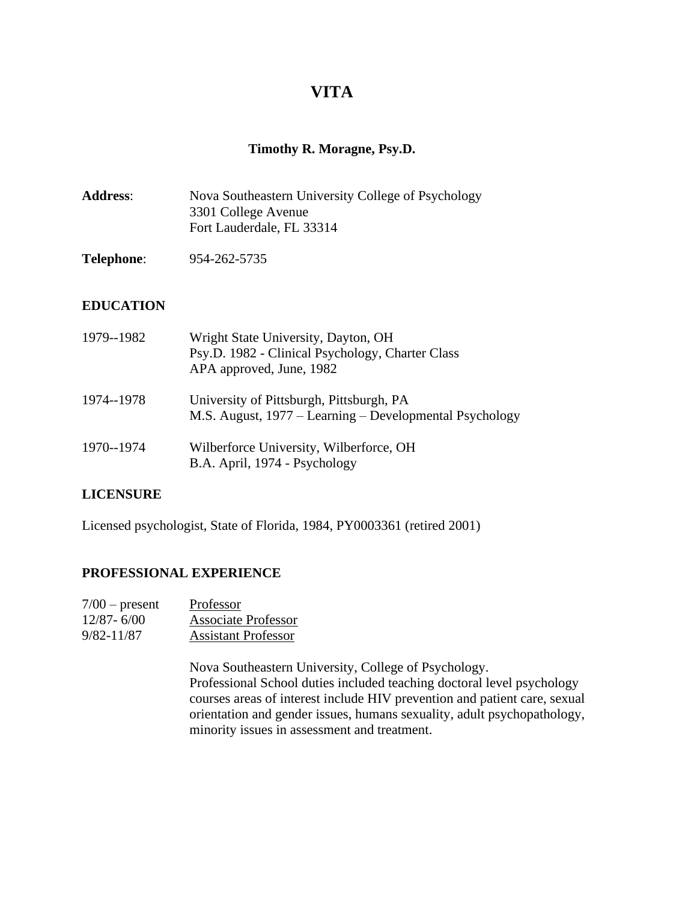# **VITA**

# **Timothy R. Moragne, Psy.D.**

| <b>Address:</b> | Nova Southeastern University College of Psychology |
|-----------------|----------------------------------------------------|
|                 | 3301 College Avenue                                |
|                 | Fort Lauderdale, FL 33314                          |

**Telephone**: 954-262-5735

# **EDUCATION**

| 1979--1982 | Wright State University, Dayton, OH<br>Psy.D. 1982 - Clinical Psychology, Charter Class<br>APA approved, June, 1982 |
|------------|---------------------------------------------------------------------------------------------------------------------|
| 1974--1978 | University of Pittsburgh, Pittsburgh, PA<br>M.S. August, 1977 – Learning – Developmental Psychology                 |
| 1970--1974 | Wilberforce University, Wilberforce, OH<br>B.A. April, 1974 - Psychology                                            |

# **LICENSURE**

Licensed psychologist, State of Florida, 1984, PY0003361 (retired 2001)

# **PROFESSIONAL EXPERIENCE**

| $7/00$ – present | Professor                  |
|------------------|----------------------------|
| $12/87 - 6/00$   | <b>Associate Professor</b> |
| $9/82 - 11/87$   | <b>Assistant Professor</b> |

Nova Southeastern University, College of Psychology. Professional School duties included teaching doctoral level psychology courses areas of interest include HIV prevention and patient care, sexual orientation and gender issues, humans sexuality, adult psychopathology, minority issues in assessment and treatment.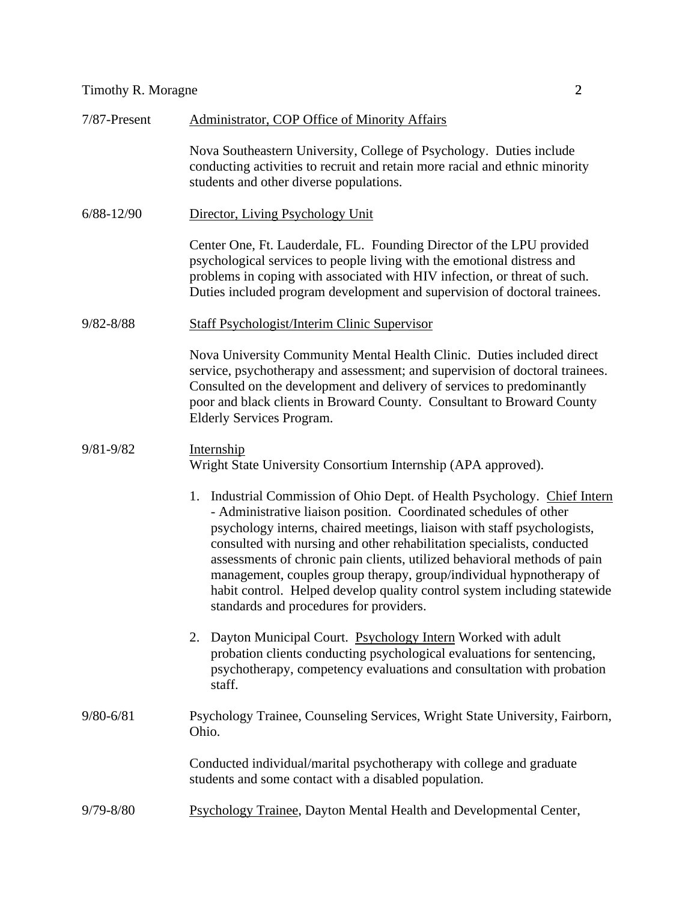| 7/87-Present   | <b>Administrator, COP Office of Minority Affairs</b>                                                                                                                                                                                                                                                                                                                                                                                                                                                                                                                          |
|----------------|-------------------------------------------------------------------------------------------------------------------------------------------------------------------------------------------------------------------------------------------------------------------------------------------------------------------------------------------------------------------------------------------------------------------------------------------------------------------------------------------------------------------------------------------------------------------------------|
|                | Nova Southeastern University, College of Psychology. Duties include<br>conducting activities to recruit and retain more racial and ethnic minority<br>students and other diverse populations.                                                                                                                                                                                                                                                                                                                                                                                 |
| $6/88 - 12/90$ | Director, Living Psychology Unit                                                                                                                                                                                                                                                                                                                                                                                                                                                                                                                                              |
|                | Center One, Ft. Lauderdale, FL. Founding Director of the LPU provided<br>psychological services to people living with the emotional distress and<br>problems in coping with associated with HIV infection, or threat of such.<br>Duties included program development and supervision of doctoral trainees.                                                                                                                                                                                                                                                                    |
| $9/82 - 8/88$  | <b>Staff Psychologist/Interim Clinic Supervisor</b>                                                                                                                                                                                                                                                                                                                                                                                                                                                                                                                           |
|                | Nova University Community Mental Health Clinic. Duties included direct<br>service, psychotherapy and assessment; and supervision of doctoral trainees.<br>Consulted on the development and delivery of services to predominantly<br>poor and black clients in Broward County. Consultant to Broward County<br><b>Elderly Services Program.</b>                                                                                                                                                                                                                                |
| $9/81 - 9/82$  | Internship<br>Wright State University Consortium Internship (APA approved).                                                                                                                                                                                                                                                                                                                                                                                                                                                                                                   |
|                | 1. Industrial Commission of Ohio Dept. of Health Psychology. Chief Intern<br>- Administrative liaison position. Coordinated schedules of other<br>psychology interns, chaired meetings, liaison with staff psychologists,<br>consulted with nursing and other rehabilitation specialists, conducted<br>assessments of chronic pain clients, utilized behavioral methods of pain<br>management, couples group therapy, group/individual hypnotherapy of<br>habit control. Helped develop quality control system including statewide<br>standards and procedures for providers. |
|                | Dayton Municipal Court. Psychology Intern Worked with adult<br>2.<br>probation clients conducting psychological evaluations for sentencing,<br>psychotherapy, competency evaluations and consultation with probation<br>staff.                                                                                                                                                                                                                                                                                                                                                |
| $9/80 - 6/81$  | Psychology Trainee, Counseling Services, Wright State University, Fairborn,<br>Ohio.                                                                                                                                                                                                                                                                                                                                                                                                                                                                                          |
|                | Conducted individual/marital psychotherapy with college and graduate<br>students and some contact with a disabled population.                                                                                                                                                                                                                                                                                                                                                                                                                                                 |
| $9/79 - 8/80$  | Psychology Trainee, Dayton Mental Health and Developmental Center,                                                                                                                                                                                                                                                                                                                                                                                                                                                                                                            |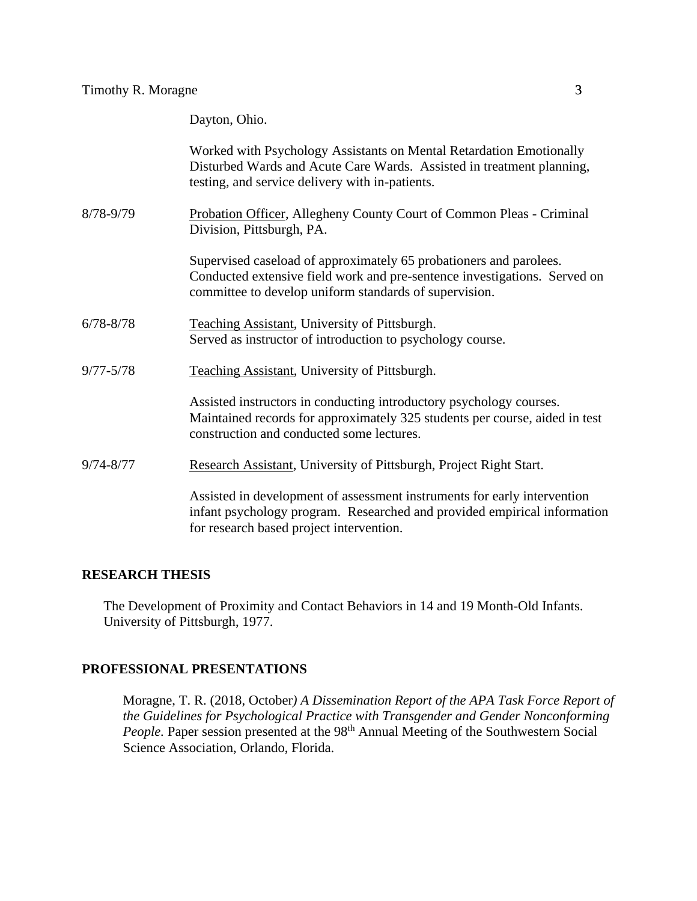# Dayton, Ohio.

|               | Worked with Psychology Assistants on Mental Retardation Emotionally<br>Disturbed Wards and Acute Care Wards. Assisted in treatment planning,<br>testing, and service delivery with in-patients.           |
|---------------|-----------------------------------------------------------------------------------------------------------------------------------------------------------------------------------------------------------|
| 8/78-9/79     | Probation Officer, Allegheny County Court of Common Pleas - Criminal<br>Division, Pittsburgh, PA.                                                                                                         |
|               | Supervised caseload of approximately 65 probationers and parolees.<br>Conducted extensive field work and pre-sentence investigations. Served on<br>committee to develop uniform standards of supervision. |
| $6/78 - 8/78$ | <b>Teaching Assistant, University of Pittsburgh.</b><br>Served as instructor of introduction to psychology course.                                                                                        |
| $9/77 - 5/78$ | Teaching Assistant, University of Pittsburgh.                                                                                                                                                             |
|               | Assisted instructors in conducting introductory psychology courses.<br>Maintained records for approximately 325 students per course, aided in test<br>construction and conducted some lectures.           |
| $9/74 - 8/77$ | Research Assistant, University of Pittsburgh, Project Right Start.                                                                                                                                        |
|               | Assisted in development of assessment instruments for early intervention<br>infant psychology program. Researched and provided empirical information<br>for research based project intervention.          |

## **RESEARCH THESIS**

The Development of Proximity and Contact Behaviors in 14 and 19 Month-Old Infants. University of Pittsburgh, 1977.

## **PROFESSIONAL PRESENTATIONS**

Moragne, T. R. (2018, October*) A Dissemination Report of the APA Task Force Report of the Guidelines for Psychological Practice with Transgender and Gender Nonconforming*  People. Paper session presented at the 98<sup>th</sup> Annual Meeting of the Southwestern Social Science Association, Orlando, Florida.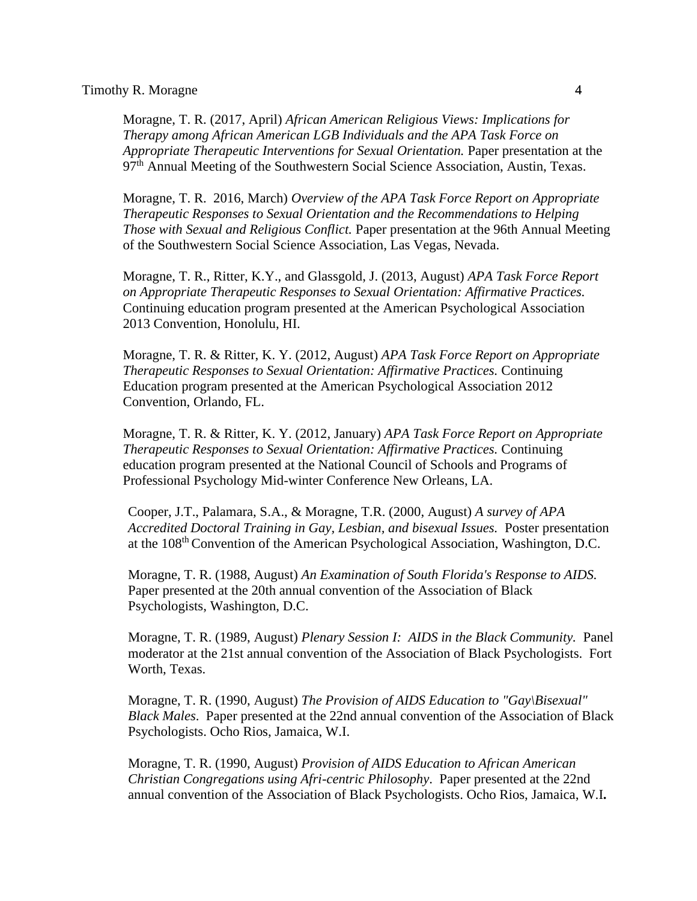Moragne, T. R. (2017, April) *African American Religious Views: Implications for Therapy among African American LGB Individuals and the APA Task Force on Appropriate Therapeutic Interventions for Sexual Orientation.* Paper presentation at the 97<sup>th</sup> Annual Meeting of the Southwestern Social Science Association, Austin, Texas.

Moragne, T. R. 2016, March) *Overview of the APA Task Force Report on Appropriate Therapeutic Responses to Sexual Orientation and the Recommendations to Helping Those with Sexual and Religious Conflict.* Paper presentation at the 96th Annual Meeting of the Southwestern Social Science Association, Las Vegas, Nevada.

Moragne, T. R., Ritter, K.Y., and Glassgold, J. (2013, August) *APA Task Force Report on Appropriate Therapeutic Responses to Sexual Orientation: Affirmative Practices.* Continuing education program presented at the American Psychological Association 2013 Convention, Honolulu, HI.

Moragne, T. R. & Ritter, K. Y. (2012, August) *APA Task Force Report on Appropriate Therapeutic Responses to Sexual Orientation: Affirmative Practices.* Continuing Education program presented at the American Psychological Association 2012 Convention, Orlando, FL.

Moragne, T. R. & Ritter, K. Y. (2012, January) *APA Task Force Report on Appropriate Therapeutic Responses to Sexual Orientation: Affirmative Practices.* Continuing education program presented at the National Council of Schools and Programs of Professional Psychology Mid-winter Conference New Orleans, LA.

Cooper, J.T., Palamara, S.A., & Moragne, T.R. (2000, August) *A survey of APA Accredited Doctoral Training in Gay, Lesbian, and bisexual Issues.* Poster presentation at the 108th Convention of the American Psychological Association, Washington, D.C.

Moragne, T. R. (1988, August) *An Examination of South Florida's Response to AIDS.* Paper presented at the 20th annual convention of the Association of Black Psychologists, Washington, D.C.

Moragne, T. R. (1989, August) *Plenary Session I: AIDS in the Black Community.* Panel moderator at the 21st annual convention of the Association of Black Psychologists. Fort Worth, Texas.

Moragne, T. R. (1990, August) *The Provision of AIDS Education to "Gay\Bisexual" Black Males*. Paper presented at the 22nd annual convention of the Association of Black Psychologists. Ocho Rios, Jamaica, W.I.

Moragne, T. R. (1990, August) *Provision of AIDS Education to African American Christian Congregations using Afri-centric Philosophy*. Paper presented at the 22nd annual convention of the Association of Black Psychologists. Ocho Rios, Jamaica, W.I**.**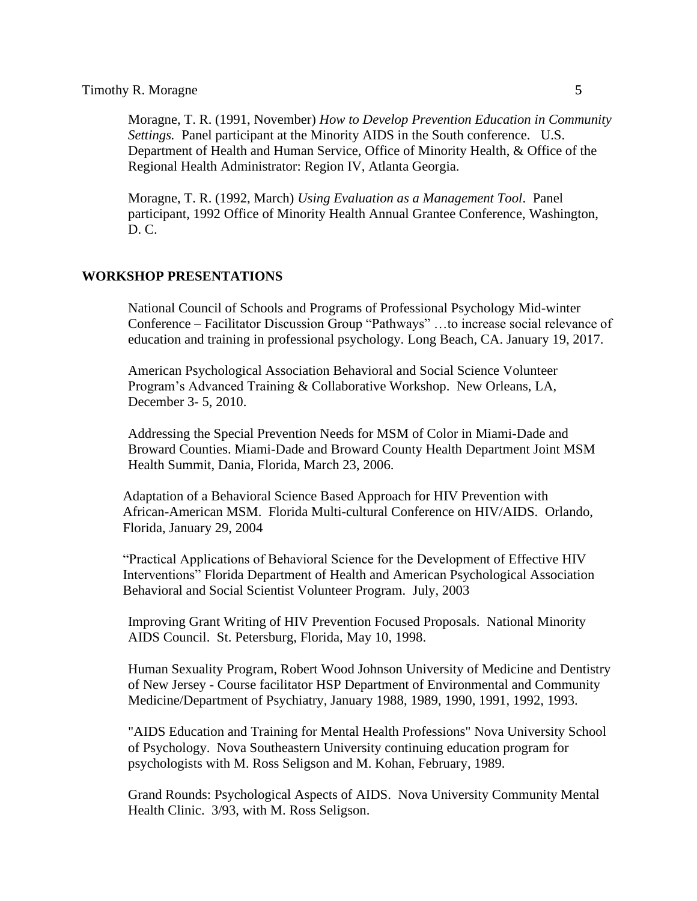Moragne, T. R. (1991, November) *How to Develop Prevention Education in Community Settings.* Panel participant at the Minority AIDS in the South conference. U.S. Department of Health and Human Service, Office of Minority Health, & Office of the Regional Health Administrator: Region IV, Atlanta Georgia.

Moragne, T. R. (1992, March) *Using Evaluation as a Management Tool*. Panel participant, 1992 Office of Minority Health Annual Grantee Conference, Washington, D. C.

## **WORKSHOP PRESENTATIONS**

National Council of Schools and Programs of Professional Psychology Mid-winter Conference – Facilitator Discussion Group "Pathways" …to increase social relevance of education and training in professional psychology. Long Beach, CA. January 19, 2017.

American Psychological Association Behavioral and Social Science Volunteer Program's Advanced Training & Collaborative Workshop. New Orleans, LA, December 3- 5, 2010.

Addressing the Special Prevention Needs for MSM of Color in Miami-Dade and Broward Counties. Miami-Dade and Broward County Health Department Joint MSM Health Summit, Dania, Florida, March 23, 2006.

Adaptation of a Behavioral Science Based Approach for HIV Prevention with African-American MSM. Florida Multi-cultural Conference on HIV/AIDS. Orlando, Florida, January 29, 2004

"Practical Applications of Behavioral Science for the Development of Effective HIV Interventions" Florida Department of Health and American Psychological Association Behavioral and Social Scientist Volunteer Program. July, 2003

Improving Grant Writing of HIV Prevention Focused Proposals. National Minority AIDS Council. St. Petersburg, Florida, May 10, 1998.

Human Sexuality Program, Robert Wood Johnson University of Medicine and Dentistry of New Jersey - Course facilitator HSP Department of Environmental and Community Medicine/Department of Psychiatry, January 1988, 1989, 1990, 1991, 1992, 1993.

"AIDS Education and Training for Mental Health Professions" Nova University School of Psychology. Nova Southeastern University continuing education program for psychologists with M. Ross Seligson and M. Kohan, February, 1989.

Grand Rounds: Psychological Aspects of AIDS. Nova University Community Mental Health Clinic. 3/93, with M. Ross Seligson.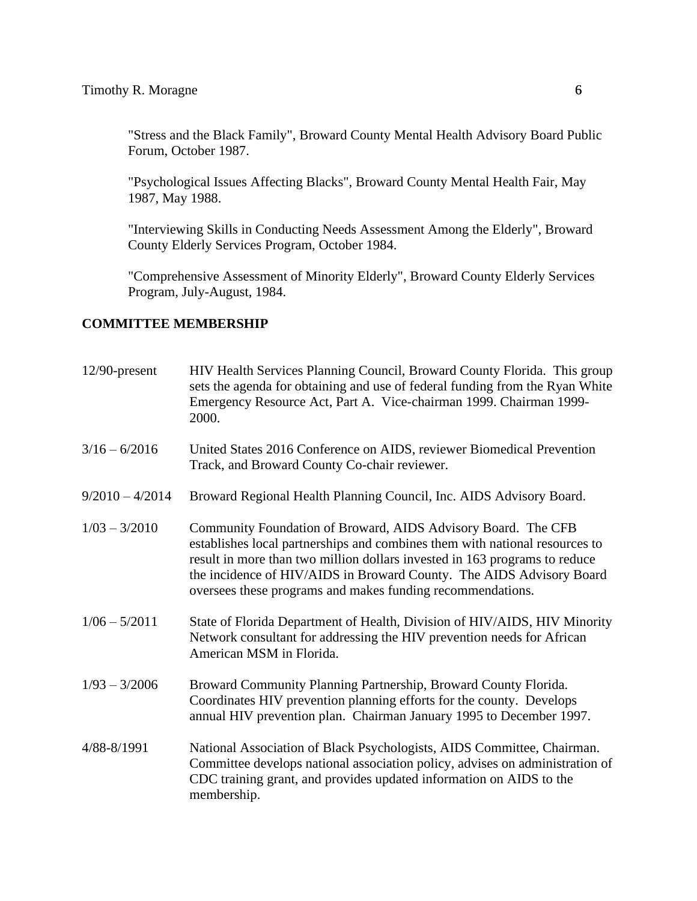"Stress and the Black Family", Broward County Mental Health Advisory Board Public Forum, October 1987.

"Psychological Issues Affecting Blacks", Broward County Mental Health Fair, May 1987, May 1988.

"Interviewing Skills in Conducting Needs Assessment Among the Elderly", Broward County Elderly Services Program, October 1984.

"Comprehensive Assessment of Minority Elderly", Broward County Elderly Services Program, July-August, 1984.

# **COMMITTEE MEMBERSHIP**

| $12/90$ -present  | HIV Health Services Planning Council, Broward County Florida. This group<br>sets the agenda for obtaining and use of federal funding from the Ryan White<br>Emergency Resource Act, Part A. Vice-chairman 1999. Chairman 1999-<br>2000.                                                                                                                          |
|-------------------|------------------------------------------------------------------------------------------------------------------------------------------------------------------------------------------------------------------------------------------------------------------------------------------------------------------------------------------------------------------|
| $3/16 - 6/2016$   | United States 2016 Conference on AIDS, reviewer Biomedical Prevention<br>Track, and Broward County Co-chair reviewer.                                                                                                                                                                                                                                            |
| $9/2010 - 4/2014$ | Broward Regional Health Planning Council, Inc. AIDS Advisory Board.                                                                                                                                                                                                                                                                                              |
| $1/03 - 3/2010$   | Community Foundation of Broward, AIDS Advisory Board. The CFB<br>establishes local partnerships and combines them with national resources to<br>result in more than two million dollars invested in 163 programs to reduce<br>the incidence of HIV/AIDS in Broward County. The AIDS Advisory Board<br>oversees these programs and makes funding recommendations. |
| $1/06 - 5/2011$   | State of Florida Department of Health, Division of HIV/AIDS, HIV Minority<br>Network consultant for addressing the HIV prevention needs for African<br>American MSM in Florida.                                                                                                                                                                                  |
| $1/93 - 3/2006$   | Broward Community Planning Partnership, Broward County Florida.<br>Coordinates HIV prevention planning efforts for the county. Develops<br>annual HIV prevention plan. Chairman January 1995 to December 1997.                                                                                                                                                   |
| 4/88-8/1991       | National Association of Black Psychologists, AIDS Committee, Chairman.<br>Committee develops national association policy, advises on administration of<br>CDC training grant, and provides updated information on AIDS to the<br>membership.                                                                                                                     |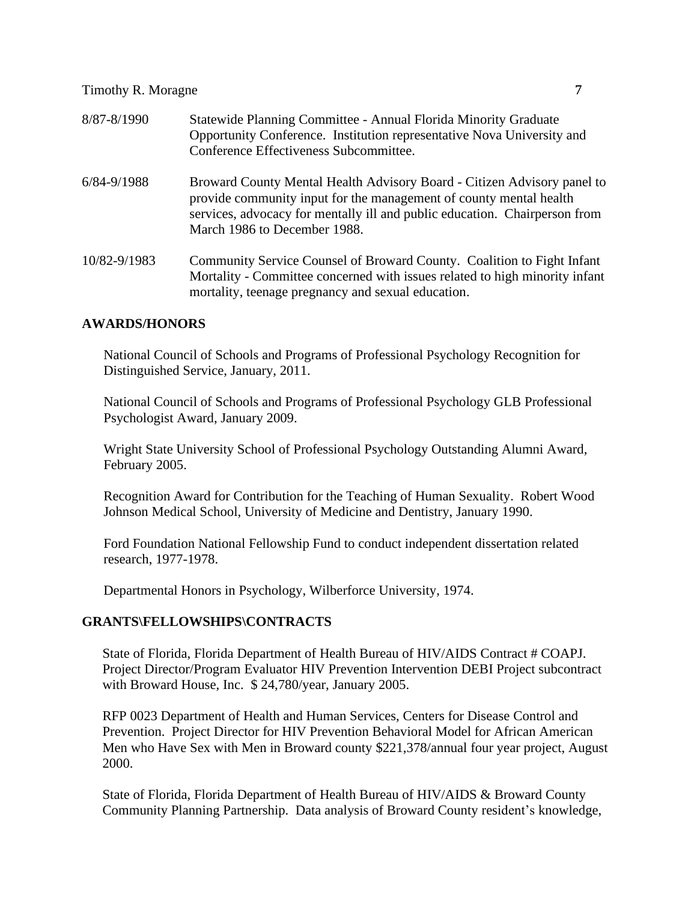| 8/87-8/1990     | Statewide Planning Committee - Annual Florida Minority Graduate<br>Opportunity Conference. Institution representative Nova University and<br>Conference Effectiveness Subcommittee.                                                                         |
|-----------------|-------------------------------------------------------------------------------------------------------------------------------------------------------------------------------------------------------------------------------------------------------------|
| $6/84 - 9/1988$ | Broward County Mental Health Advisory Board - Citizen Advisory panel to<br>provide community input for the management of county mental health<br>services, advocacy for mentally ill and public education. Chairperson from<br>March 1986 to December 1988. |
| 10/82-9/1983    | Community Service Counsel of Broward County. Coalition to Fight Infant<br>Mortality - Committee concerned with issues related to high minority infant<br>mortality, teenage pregnancy and sexual education.                                                 |

## **AWARDS/HONORS**

National Council of Schools and Programs of Professional Psychology Recognition for Distinguished Service, January, 2011.

National Council of Schools and Programs of Professional Psychology GLB Professional Psychologist Award, January 2009.

Wright State University School of Professional Psychology Outstanding Alumni Award, February 2005.

Recognition Award for Contribution for the Teaching of Human Sexuality. Robert Wood Johnson Medical School, University of Medicine and Dentistry, January 1990.

Ford Foundation National Fellowship Fund to conduct independent dissertation related research, 1977-1978.

Departmental Honors in Psychology, Wilberforce University, 1974.

## **GRANTS\FELLOWSHIPS\CONTRACTS**

State of Florida, Florida Department of Health Bureau of HIV/AIDS Contract # COAPJ. Project Director/Program Evaluator HIV Prevention Intervention DEBI Project subcontract with Broward House, Inc. \$ 24,780/year, January 2005.

RFP 0023 Department of Health and Human Services, Centers for Disease Control and Prevention. Project Director for HIV Prevention Behavioral Model for African American Men who Have Sex with Men in Broward county \$221,378/annual four year project, August 2000.

State of Florida, Florida Department of Health Bureau of HIV/AIDS & Broward County Community Planning Partnership. Data analysis of Broward County resident's knowledge,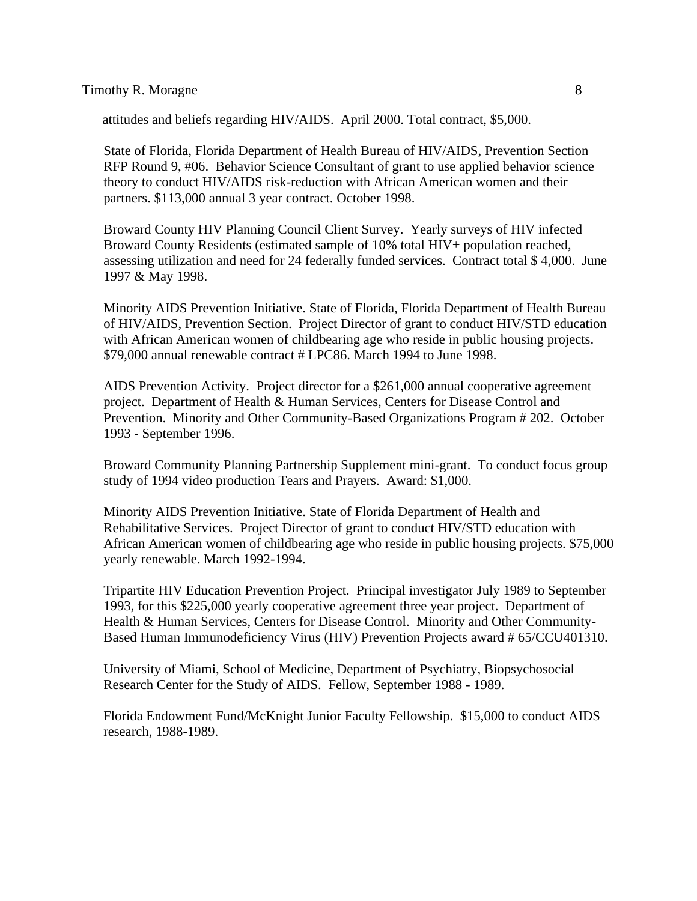attitudes and beliefs regarding HIV/AIDS. April 2000. Total contract, \$5,000.

State of Florida, Florida Department of Health Bureau of HIV/AIDS, Prevention Section RFP Round 9, #06. Behavior Science Consultant of grant to use applied behavior science theory to conduct HIV/AIDS risk-reduction with African American women and their partners. \$113,000 annual 3 year contract. October 1998.

Broward County HIV Planning Council Client Survey. Yearly surveys of HIV infected Broward County Residents (estimated sample of 10% total HIV+ population reached, assessing utilization and need for 24 federally funded services. Contract total \$ 4,000. June 1997 & May 1998.

Minority AIDS Prevention Initiative. State of Florida, Florida Department of Health Bureau of HIV/AIDS, Prevention Section. Project Director of grant to conduct HIV/STD education with African American women of childbearing age who reside in public housing projects. \$79,000 annual renewable contract # LPC86. March 1994 to June 1998.

AIDS Prevention Activity. Project director for a \$261,000 annual cooperative agreement project. Department of Health & Human Services, Centers for Disease Control and Prevention. Minority and Other Community-Based Organizations Program # 202. October 1993 - September 1996.

Broward Community Planning Partnership Supplement mini-grant. To conduct focus group study of 1994 video production Tears and Prayers. Award: \$1,000.

Minority AIDS Prevention Initiative. State of Florida Department of Health and Rehabilitative Services. Project Director of grant to conduct HIV/STD education with African American women of childbearing age who reside in public housing projects. \$75,000 yearly renewable. March 1992-1994.

Tripartite HIV Education Prevention Project. Principal investigator July 1989 to September 1993, for this \$225,000 yearly cooperative agreement three year project. Department of Health & Human Services, Centers for Disease Control. Minority and Other Community-Based Human Immunodeficiency Virus (HIV) Prevention Projects award # 65/CCU401310.

University of Miami, School of Medicine, Department of Psychiatry, Biopsychosocial Research Center for the Study of AIDS. Fellow, September 1988 - 1989.

Florida Endowment Fund/McKnight Junior Faculty Fellowship. \$15,000 to conduct AIDS research, 1988-1989.